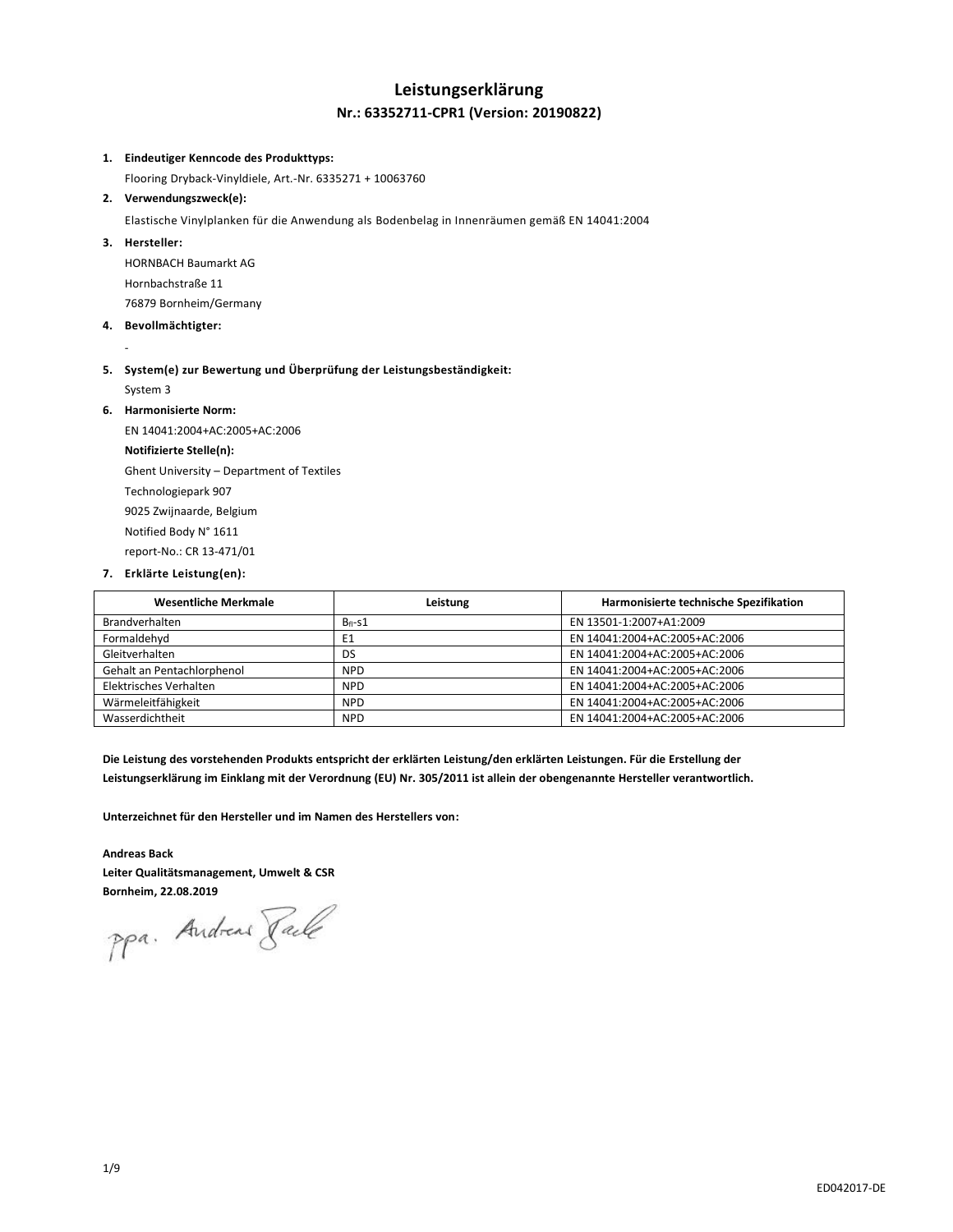### **Leistungserklärung Nr.: 63352711-CPR1 (Version: 20190822)**

#### **1. Eindeutiger Kenncode des Produkttyps:**

Flooring Dryback-Vinyldiele, Art.-Nr. 6335271 + 10063760

**2. Verwendungszweck(e):**

Elastische Vinylplanken für die Anwendung als Bodenbelag in Innenräumen gemäß EN 14041:2004

**3. Hersteller:**

-

HORNBACH Baumarkt AG Hornbachstraße 11 76879 Bornheim/Germany

- **4. Bevollmächtigter:**
- **5. System(e) zur Bewertung und Überprüfung der Leistungsbeständigkeit:** System 3
- **6. Harmonisierte Norm:**

EN 14041:2004+AC:2005+AC:2006 **Notifizierte Stelle(n):** Ghent University – Department of Textiles Technologiepark 907 9025 Zwijnaarde, Belgium Notified Body N° 1611 report-No.: CR 13-471/01

**7. Erklärte Leistung(en):**

| <b>Wesentliche Merkmale</b> | Leistung    | Harmonisierte technische Spezifikation |
|-----------------------------|-------------|----------------------------------------|
| Brandverhalten              | $B_{fi-S1}$ | EN 13501-1:2007+A1:2009                |
| Formaldehyd                 | E1          | EN 14041:2004+AC:2005+AC:2006          |
| Gleitverhalten              | <b>DS</b>   | EN 14041:2004+AC:2005+AC:2006          |
| Gehalt an Pentachlorphenol  | <b>NPD</b>  | EN 14041:2004+AC:2005+AC:2006          |
| Elektrisches Verhalten      | <b>NPD</b>  | EN 14041:2004+AC:2005+AC:2006          |
| Wärmeleitfähigkeit          | <b>NPD</b>  | EN 14041:2004+AC:2005+AC:2006          |
| Wasserdichtheit             | <b>NPD</b>  | EN 14041:2004+AC:2005+AC:2006          |

**Die Leistung des vorstehenden Produkts entspricht der erklärten Leistung/den erklärten Leistungen. Für die Erstellung der Leistungserklärung im Einklang mit der Verordnung (EU) Nr. 305/2011 ist allein der obengenannte Hersteller verantwortlich.**

**Unterzeichnet für den Hersteller und im Namen des Herstellers von:**

#### **Andreas Back**

**Leiter Qualitätsmanagement, Umwelt & CSR**

**Bornheim, 22.08.2019**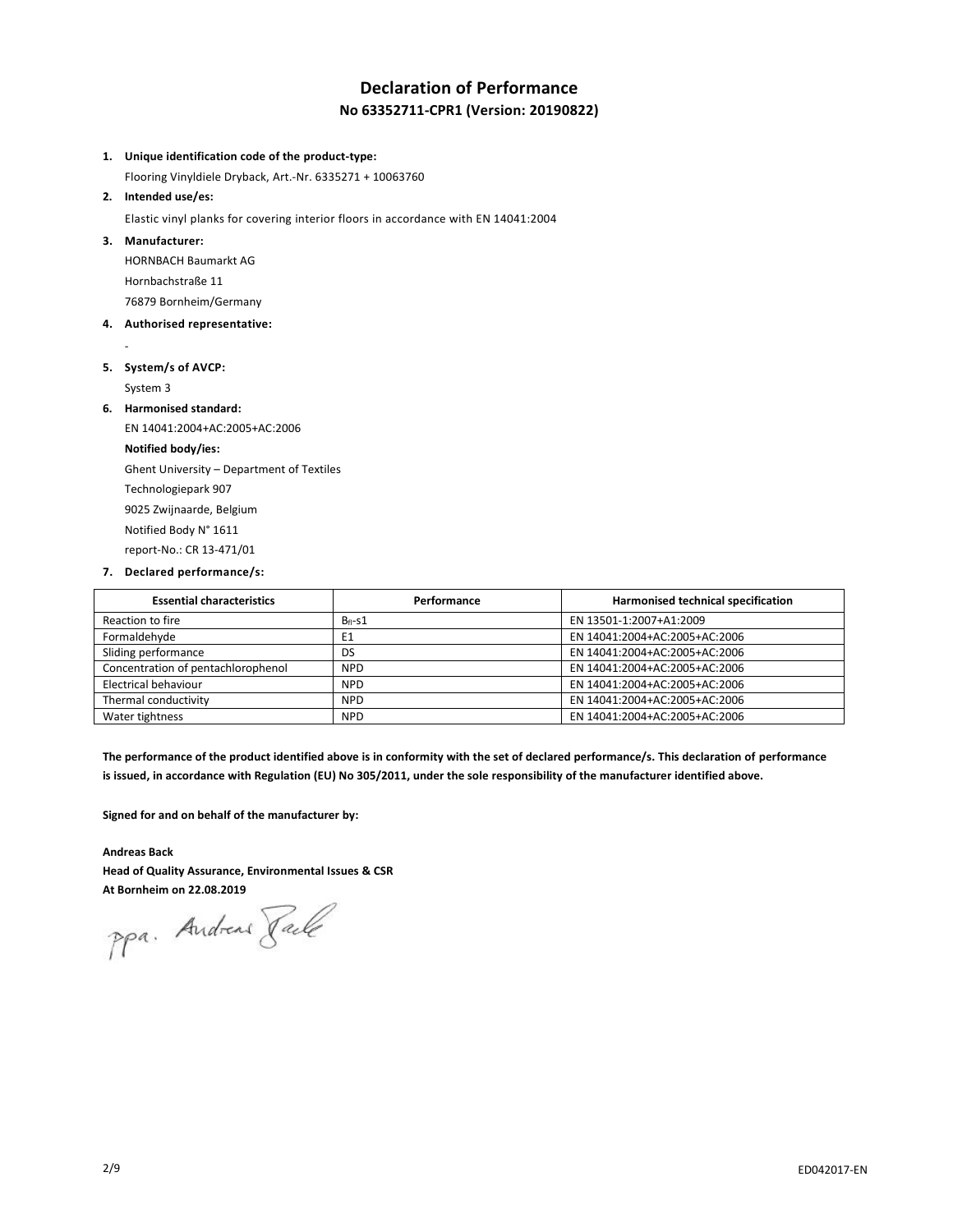### **Declaration of Performance No 63352711-CPR1 (Version: 20190822)**

#### **1. Unique identification code of the product-type:**

Flooring Vinyldiele Dryback, Art.-Nr. 6335271 + 10063760

#### **2. Intended use/es:**

Elastic vinyl planks for covering interior floors in accordance with EN 14041:2004

#### **3. Manufacturer:**

HORNBACH Baumarkt AG Hornbachstraße 11 76879 Bornheim/Germany

#### **4. Authorised representative:**

# **5. System/s of AVCP:**

System 3

-

#### **6. Harmonised standard:**

EN 14041:2004+AC:2005+AC:2006 **Notified body/ies:** Ghent University – Department of Textiles Technologiepark 907 9025 Zwijnaarde, Belgium Notified Body N° 1611 report-No.: CR 13-471/01

#### **7. Declared performance/s:**

| <b>Essential characteristics</b>   | Performance | Harmonised technical specification |
|------------------------------------|-------------|------------------------------------|
| Reaction to fire                   | $B_{fi-S1}$ | EN 13501-1:2007+A1:2009            |
| Formaldehyde                       | E1          | EN 14041:2004+AC:2005+AC:2006      |
| Sliding performance                | DS          | EN 14041:2004+AC:2005+AC:2006      |
| Concentration of pentachlorophenol | <b>NPD</b>  | EN 14041:2004+AC:2005+AC:2006      |
| Electrical behaviour               | <b>NPD</b>  | EN 14041:2004+AC:2005+AC:2006      |
| Thermal conductivity               | <b>NPD</b>  | EN 14041:2004+AC:2005+AC:2006      |
| Water tightness                    | <b>NPD</b>  | EN 14041:2004+AC:2005+AC:2006      |

**The performance of the product identified above is in conformity with the set of declared performance/s. This declaration of performance is issued, in accordance with Regulation (EU) No 305/2011, under the sole responsibility of the manufacturer identified above.**

**Signed for and on behalf of the manufacturer by:**

#### **Andreas Back**

**Head of Quality Assurance, Environmental Issues & CSR At Bornheim on 22.08.2019**

ppa. Andreas Pale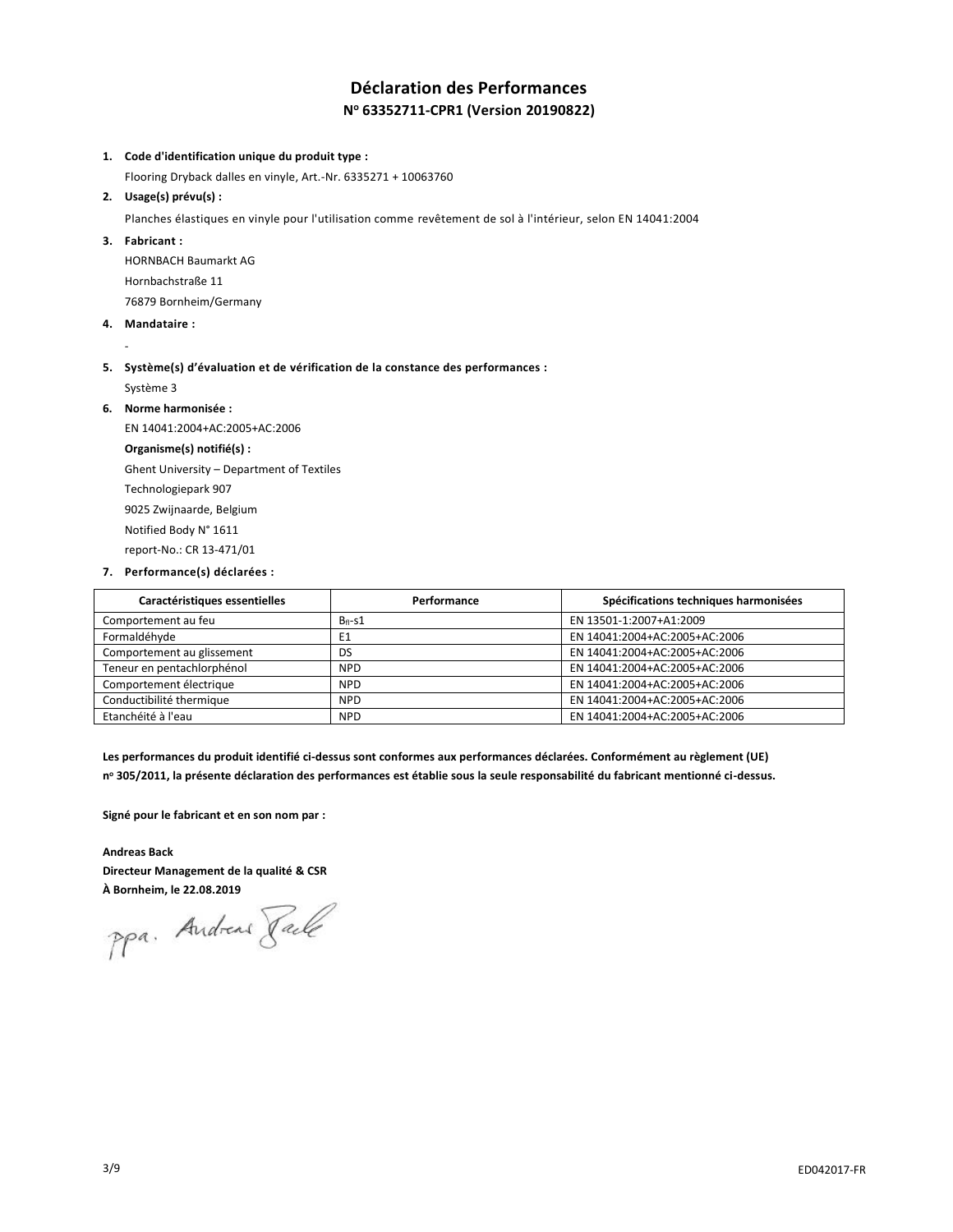### **Déclaration des Performances N <sup>o</sup> 63352711-CPR1 (Version 20190822)**

#### **1. Code d'identification unique du produit type :**

Flooring Dryback dalles en vinyle, Art.-Nr. 6335271 + 10063760

**2. Usage(s) prévu(s) :**

Planches élastiques en vinyle pour l'utilisation comme revêtement de sol à l'intérieur, selon EN 14041:2004

**3. Fabricant :**

HORNBACH Baumarkt AG Hornbachstraße 11 76879 Bornheim/Germany

**4. Mandataire :**

-

- **5. Système(s) d'évaluation et de vérification de la constance des performances :** Système 3
- **6. Norme harmonisée :**

EN 14041:2004+AC:2005+AC:2006 **Organisme(s) notifié(s) :** Ghent University – Department of Textiles Technologiepark 907 9025 Zwijnaarde, Belgium Notified Body N° 1611 report-No.: CR 13-471/01

**7. Performance(s) déclarées :**

| Caractéristiques essentielles | Performance | Spécifications techniques harmonisées |
|-------------------------------|-------------|---------------------------------------|
| Comportement au feu           | $B_{fi-S1}$ | EN 13501-1:2007+A1:2009               |
| Formaldéhyde                  | E1          | EN 14041:2004+AC:2005+AC:2006         |
| Comportement au glissement    | DS          | EN 14041:2004+AC:2005+AC:2006         |
| Teneur en pentachlorphénol    | <b>NPD</b>  | EN 14041:2004+AC:2005+AC:2006         |
| Comportement électrique       | <b>NPD</b>  | EN 14041:2004+AC:2005+AC:2006         |
| Conductibilité thermique      | <b>NPD</b>  | EN 14041:2004+AC:2005+AC:2006         |
| Etanchéité à l'eau            | <b>NPD</b>  | EN 14041:2004+AC:2005+AC:2006         |

**Les performances du produit identifié ci-dessus sont conformes aux performances déclarées. Conformément au règlement (UE) n <sup>o</sup> 305/2011, la présente déclaration des performances est établie sous la seule responsabilité du fabricant mentionné ci-dessus.**

**Signé pour le fabricant et en son nom par :**

#### **Andreas Back**

**Directeur Management de la qualité & CSR À Bornheim, le 22.08.2019**

ppa. Andreas Face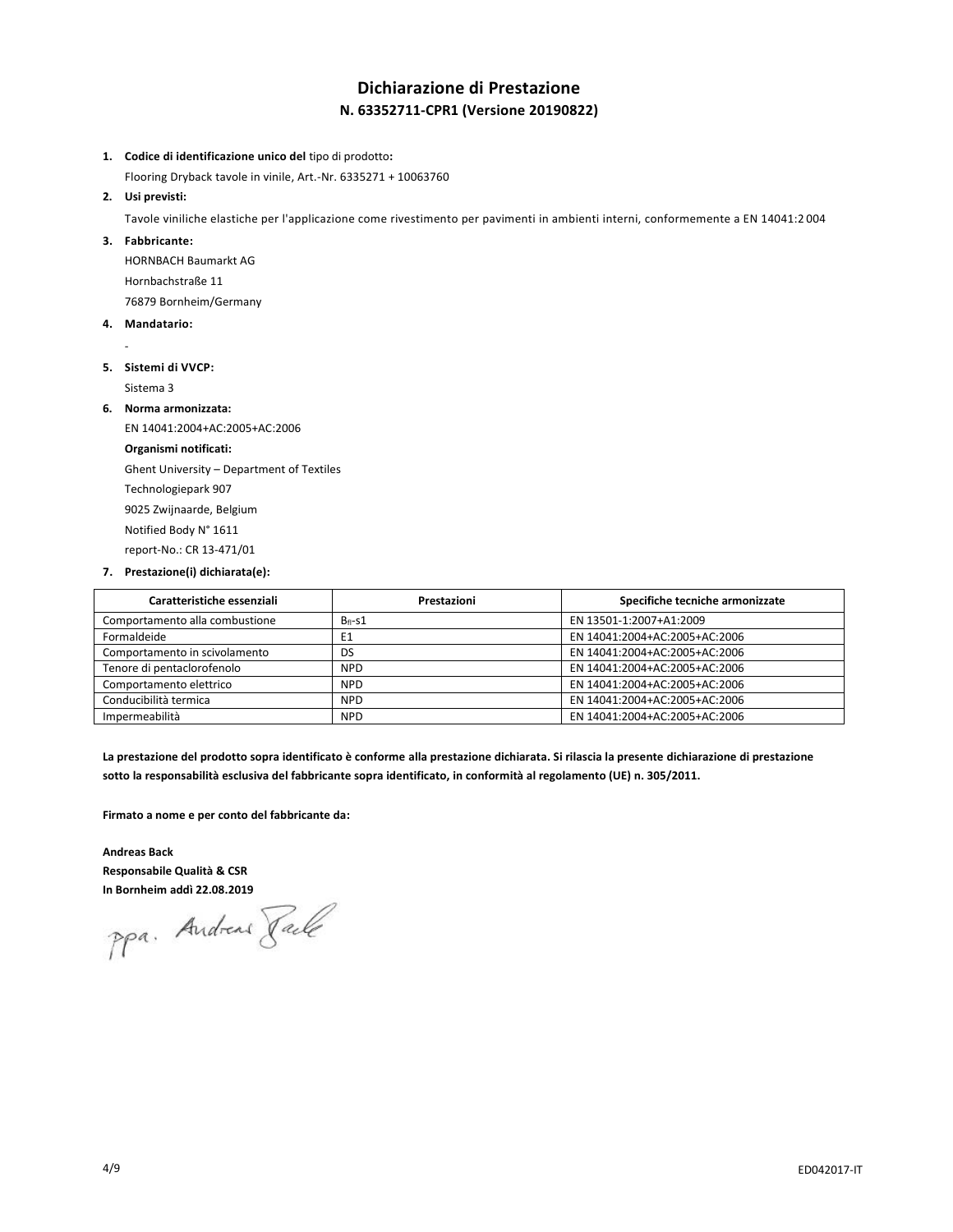# **Dichiarazione di Prestazione N. 63352711-CPR1 (Versione 20190822)**

- **1. Codice di identificazione unico del** tipo di prodotto**:**
- Flooring Dryback tavole in vinile, Art.-Nr. 6335271 + 10063760

#### **2. Usi previsti:**

Tavole viniliche elastiche per l'applicazione come rivestimento per pavimenti in ambienti interni, conformemente a EN 14041:2 004

#### **3. Fabbricante:**

HORNBACH Baumarkt AG Hornbachstraße 11 76879 Bornheim/Germany

#### **4. Mandatario:**

-

#### **5. Sistemi di VVCP:**

Sistema 3

#### **6. Norma armonizzata:**

EN 14041:2004+AC:2005+AC:2006 **Organismi notificati:** Ghent University – Department of Textiles Technologiepark 907 9025 Zwijnaarde, Belgium Notified Body N° 1611 report-No.: CR 13-471/01

#### **7. Prestazione(i) dichiarata(e):**

| Caratteristiche essenziali     | Prestazioni  | Specifiche tecniche armonizzate |
|--------------------------------|--------------|---------------------------------|
| Comportamento alla combustione | $B_{fl}$ -s1 | EN 13501-1:2007+A1:2009         |
| Formaldeide                    | E1           | EN 14041:2004+AC:2005+AC:2006   |
| Comportamento in scivolamento  | DS           | EN 14041:2004+AC:2005+AC:2006   |
| Tenore di pentaclorofenolo     | <b>NPD</b>   | EN 14041:2004+AC:2005+AC:2006   |
| Comportamento elettrico        | <b>NPD</b>   | EN 14041:2004+AC:2005+AC:2006   |
| Conducibilità termica          | <b>NPD</b>   | EN 14041:2004+AC:2005+AC:2006   |
| Impermeabilità                 | <b>NPD</b>   | EN 14041:2004+AC:2005+AC:2006   |

**La prestazione del prodotto sopra identificato è conforme alla prestazione dichiarata. Si rilascia la presente dichiarazione di prestazione sotto la responsabilità esclusiva del fabbricante sopra identificato, in conformità al regolamento (UE) n. 305/2011.**

**Firmato a nome e per conto del fabbricante da:**

**Andreas Back Responsabile Qualità & CSR**

**In Bornheim addì 22.08.2019**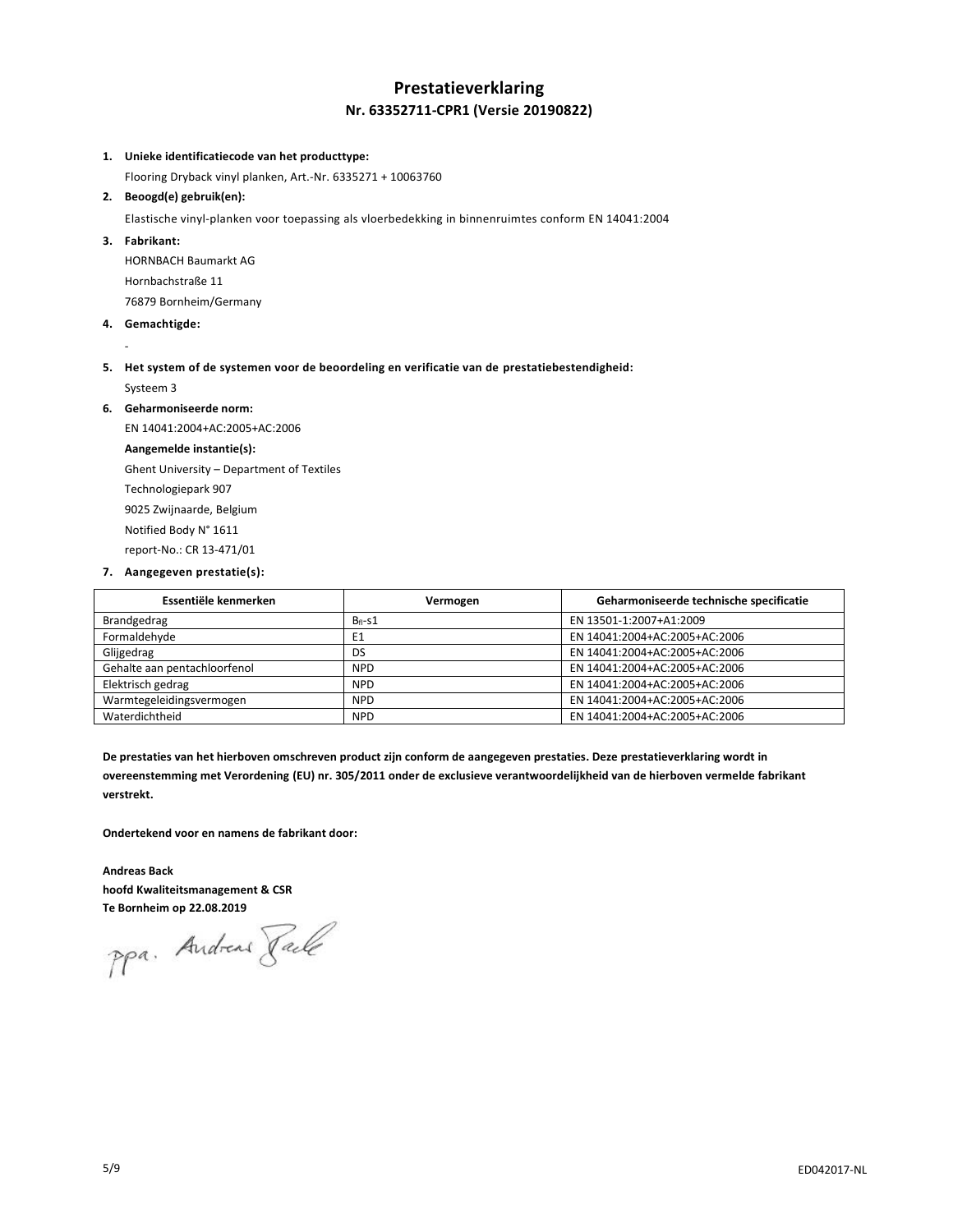### **Prestatieverklaring Nr. 63352711-CPR1 (Versie 20190822)**

#### **1. Unieke identificatiecode van het producttype:**

Flooring Dryback vinyl planken, Art.-Nr. 6335271 + 10063760

#### **2. Beoogd(e) gebruik(en):**

Elastische vinyl-planken voor toepassing als vloerbedekking in binnenruimtes conform EN 14041:2004

**3. Fabrikant:**

HORNBACH Baumarkt AG Hornbachstraße 11 76879 Bornheim/Germany

**4. Gemachtigde:**

-

**5. Het system of de systemen voor de beoordeling en verificatie van de prestatiebestendigheid:** Systeem 3

**6. Geharmoniseerde norm:**

EN 14041:2004+AC:2005+AC:2006 **Aangemelde instantie(s):** Ghent University – Department of Textiles Technologiepark 907 9025 Zwijnaarde, Belgium Notified Body N° 1611 report-No.: CR 13-471/01

**7. Aangegeven prestatie(s):**

| Essentiële kenmerken         | Vermogen    | Geharmoniseerde technische specificatie |
|------------------------------|-------------|-----------------------------------------|
| Brandgedrag                  | $B_{fi-S1}$ | EN 13501-1:2007+A1:2009                 |
| Formaldehyde                 | E1          | EN 14041:2004+AC:2005+AC:2006           |
| Glijgedrag                   | DS          | EN 14041:2004+AC:2005+AC:2006           |
| Gehalte aan pentachloorfenol | <b>NPD</b>  | EN 14041:2004+AC:2005+AC:2006           |
| Elektrisch gedrag            | <b>NPD</b>  | EN 14041:2004+AC:2005+AC:2006           |
| Warmtegeleidingsvermogen     | <b>NPD</b>  | EN 14041:2004+AC:2005+AC:2006           |
| Waterdichtheid               | <b>NPD</b>  | EN 14041:2004+AC:2005+AC:2006           |

**De prestaties van het hierboven omschreven product zijn conform de aangegeven prestaties. Deze prestatieverklaring wordt in overeenstemming met Verordening (EU) nr. 305/2011 onder de exclusieve verantwoordelijkheid van de hierboven vermelde fabrikant verstrekt.**

**Ondertekend voor en namens de fabrikant door:**

**Andreas Back hoofd Kwaliteitsmanagement & CSR Te Bornheim op 22.08.2019**

ppa. Andrew Pale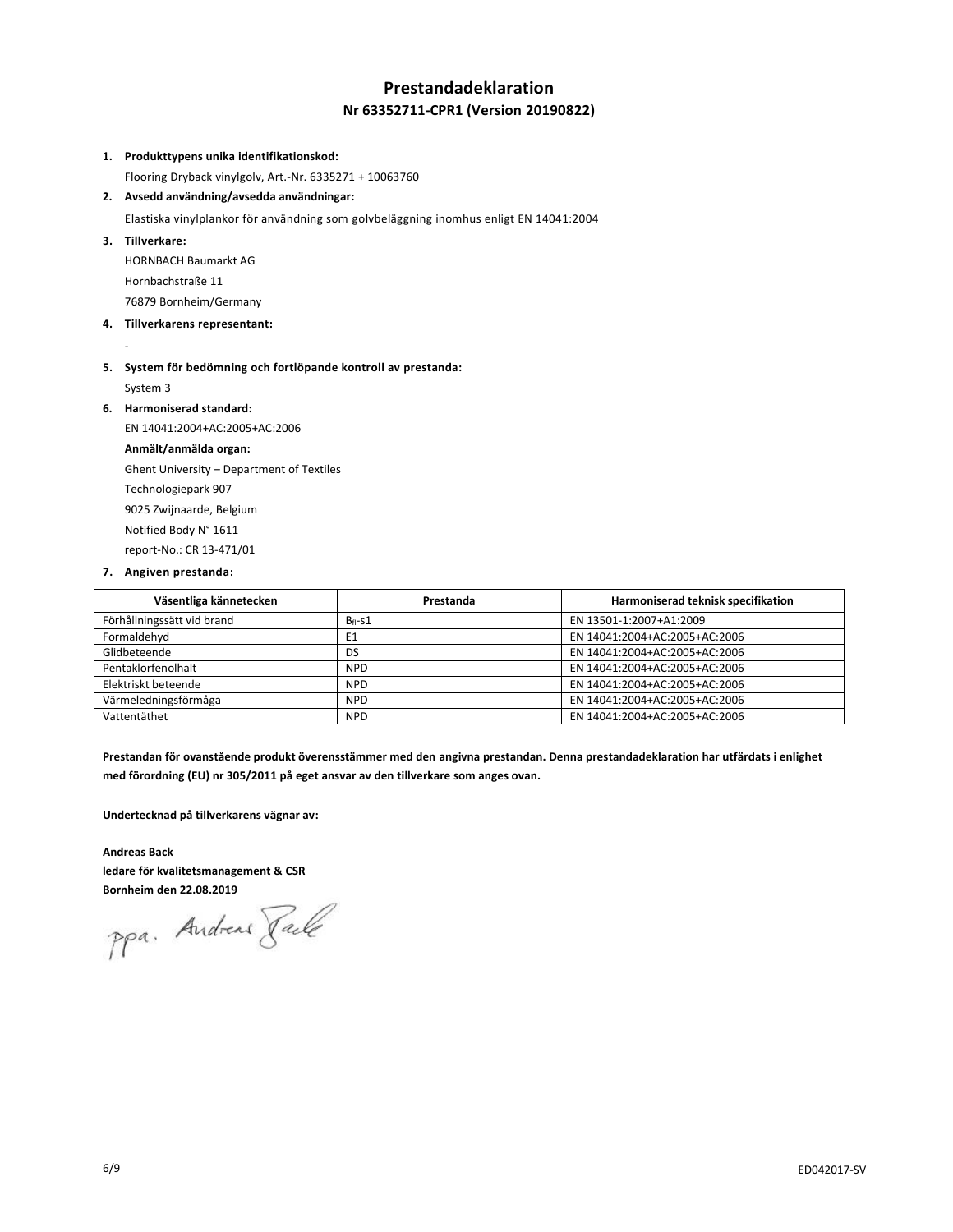## **Prestandadeklaration Nr 63352711-CPR1 (Version 20190822)**

#### **1. Produkttypens unika identifikationskod:**

Flooring Dryback vinylgolv, Art.-Nr. 6335271 + 10063760

**2. Avsedd användning/avsedda användningar:**

Elastiska vinylplankor för användning som golvbeläggning inomhus enligt EN 14041:2004

**3. Tillverkare:**

-

HORNBACH Baumarkt AG Hornbachstraße 11 76879 Bornheim/Germany

- **4. Tillverkarens representant:**
- **5. System för bedömning och fortlöpande kontroll av prestanda:** System 3

**6. Harmoniserad standard:**

EN 14041:2004+AC:2005+AC:2006 **Anmält/anmälda organ:** Ghent University – Department of Textiles Technologiepark 907 9025 Zwijnaarde, Belgium Notified Body N° 1611 report-No.: CR 13-471/01

**7. Angiven prestanda:**

| Väsentliga kännetecken     | Prestanda  | Harmoniserad teknisk specifikation |
|----------------------------|------------|------------------------------------|
| Förhållningssätt vid brand | $Bf1-S1$   | EN 13501-1:2007+A1:2009            |
| Formaldehyd                | E1         | EN 14041:2004+AC:2005+AC:2006      |
| Glidbeteende               | DS         | EN 14041:2004+AC:2005+AC:2006      |
| Pentaklorfenolhalt         | <b>NPD</b> | EN 14041:2004+AC:2005+AC:2006      |
| Elektriskt beteende        | <b>NPD</b> | EN 14041:2004+AC:2005+AC:2006      |
| Värmeledningsförmåga       | <b>NPD</b> | EN 14041:2004+AC:2005+AC:2006      |
| Vattentäthet               | <b>NPD</b> | EN 14041:2004+AC:2005+AC:2006      |

**Prestandan för ovanstående produkt överensstämmer med den angivna prestandan. Denna prestandadeklaration har utfärdats i enlighet med förordning (EU) nr 305/2011 på eget ansvar av den tillverkare som anges ovan.**

**Undertecknad på tillverkarens vägnar av:**

#### **Andreas Back**

**ledare för kvalitetsmanagement & CSR Bornheim den 22.08.2019**

ppa. Andreas Faile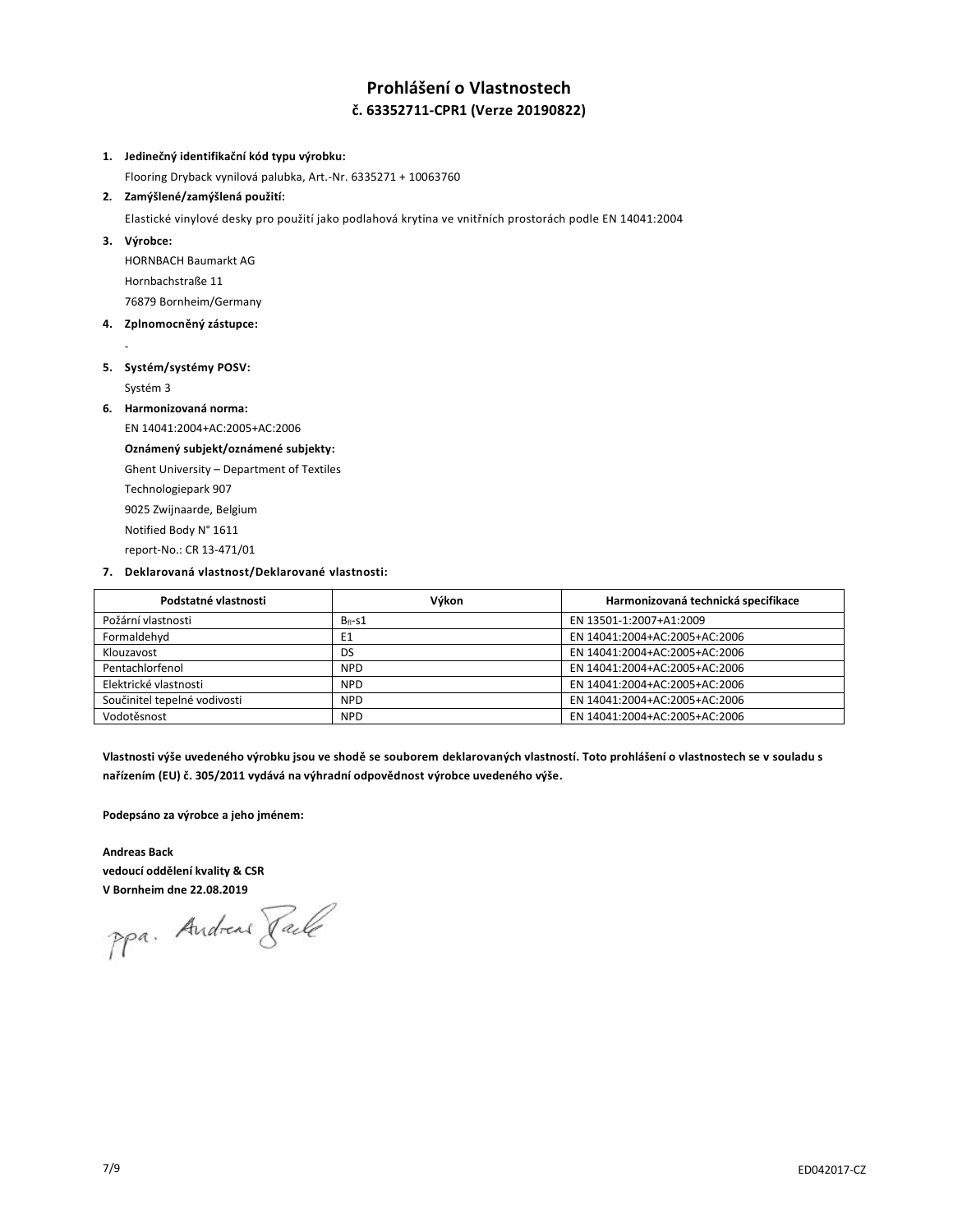### **Prohlášení o Vlastnostech č. 63352711-CPR1 (Verze 20190822)**

#### **1. Jedinečný identifikační kód typu výrobku:**

Flooring Dryback vynilová palubka, Art.-Nr. 6335271 + 10063760

#### **2. Zamýšlené/zamýšlená použití:**

Elastické vinylové desky pro použití jako podlahová krytina ve vnitřních prostorách podle EN 14041:2004

**3. Výrobce:**

-

HORNBACH Baumarkt AG Hornbachstraße 11 76879 Bornheim/Germany

**4. Zplnomocněný zástupce:**

### **5. Systém/systémy POSV:**

Systém 3

**6. Harmonizovaná norma:**

EN 14041:2004+AC:2005+AC:2006

### **Oznámený subjekt/oznámené subjekty:**

Ghent University – Department of Textiles

Technologiepark 907

9025 Zwijnaarde, Belgium

Notified Body N° 1611

report-No.: CR 13-471/01

#### **7. Deklarovaná vlastnost/Deklarované vlastnosti:**

| Podstatné vlastnosti         | Výkon          | Harmonizovaná technická specifikace |
|------------------------------|----------------|-------------------------------------|
| Požární vlastnosti           | $B_{fl}$ -s1   | EN 13501-1:2007+A1:2009             |
| Formaldehyd                  | E <sub>1</sub> | EN 14041:2004+AC:2005+AC:2006       |
| Klouzavost                   | DS             | EN 14041:2004+AC:2005+AC:2006       |
| Pentachlorfenol              | <b>NPD</b>     | EN 14041:2004+AC:2005+AC:2006       |
| Elektrické vlastnosti        | <b>NPD</b>     | EN 14041:2004+AC:2005+AC:2006       |
| Součinitel tepelné vodivosti | <b>NPD</b>     | EN 14041:2004+AC:2005+AC:2006       |
| Vodotěsnost                  | <b>NPD</b>     | EN 14041:2004+AC:2005+AC:2006       |

**Vlastnosti výše uvedeného výrobku jsou ve shodě se souborem deklarovaných vlastností. Toto prohlášení o vlastnostech se v souladu s nařízením (EU) č. 305/2011 vydává na výhradní odpovědnost výrobce uvedeného výše.**

**Podepsáno za výrobce a jeho jménem:**

**Andreas Back vedoucí oddělení kvality & CSR V Bornheim dne 22.08.2019**

ppa. Andreas Pale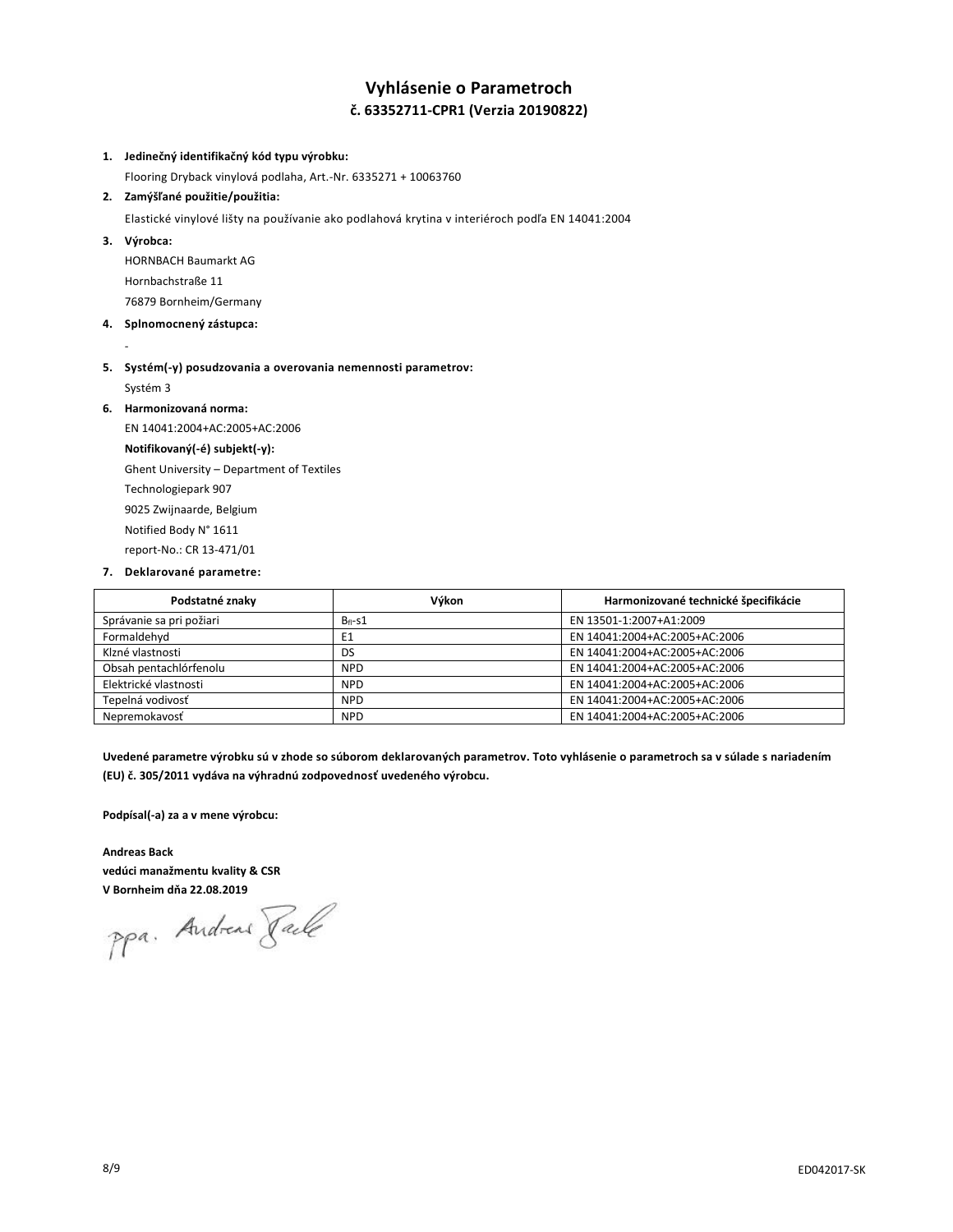# **Vyhlásenie o Parametroch č. 63352711-CPR1 (Verzia 20190822)**

#### **1. Jedinečný identifikačný kód typu výrobku:**

Flooring Dryback vinylová podlaha, Art.-Nr. 6335271 + 10063760

#### **2. Zamýšľané použitie/použitia:**

Elastické vinylové lišty na používanie ako podlahová krytina v interiéroch podľa EN 14041:2004

**3. Výrobca:**

-

HORNBACH Baumarkt AG Hornbachstraße 11 76879 Bornheim/Germany

- **4. Splnomocnený zástupca:**
- **5. Systém(-y) posudzovania a overovania nemennosti parametrov:** Systém 3
- **6. Harmonizovaná norma:**

EN 14041:2004+AC:2005+AC:2006 **Notifikovaný(-é) subjekt(-y):** Ghent University – Department of Textiles Technologiepark 907 9025 Zwijnaarde, Belgium Notified Body N° 1611 report-No.: CR 13-471/01

**7. Deklarované parametre:**

| Podstatné znaky          | Výkon          | Harmonizované technické špecifikácie |
|--------------------------|----------------|--------------------------------------|
| Správanie sa pri požiari | $B_{fl}$ -s1   | EN 13501-1:2007+A1:2009              |
| Formaldehyd              | E <sub>1</sub> | EN 14041:2004+AC:2005+AC:2006        |
| Klzné vlastnosti         | DS             | EN 14041:2004+AC:2005+AC:2006        |
| Obsah pentachlórfenolu   | <b>NPD</b>     | EN 14041:2004+AC:2005+AC:2006        |
| Elektrické vlastnosti    | <b>NPD</b>     | EN 14041:2004+AC:2005+AC:2006        |
| Tepelná vodivosť         | <b>NPD</b>     | EN 14041:2004+AC:2005+AC:2006        |
| Nepremokavosť            | <b>NPD</b>     | EN 14041:2004+AC:2005+AC:2006        |

**Uvedené parametre výrobku sú v zhode so súborom deklarovaných parametrov. Toto vyhlásenie o parametroch sa v súlade s nariadením (EU) č. 305/2011 vydáva na výhradnú zodpovednosť uvedeného výrobcu.**

**Podpísal(-a) za a v mene výrobcu:**

**Andreas Back vedúci manažmentu kvality & CSR V Bornheim dňa 22.08.2019**

ppa. Andreas Pale